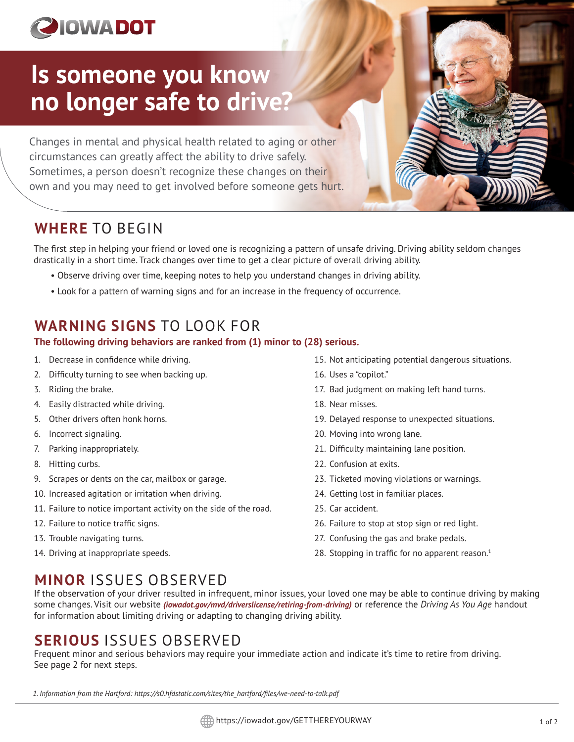# **PIOWADOT**

# **Is someone you know no longer safe to drive?**

Changes in mental and physical health related to aging or other circumstances can greatly affect the ability to drive safely. Sometimes, a person doesn't recognize these changes on their own and you may need to get involved before someone gets hurt.

## **WHERE** TO BEGIN

The first step in helping your friend or loved one is recognizing a pattern of unsafe driving. Driving ability seldom changes drastically in a short time. Track changes over time to get a clear picture of overall driving ability.

- Observe driving over time, keeping notes to help you understand changes in driving ability.
- Look for a pattern of warning signs and for an increase in the frequency of occurrence.

# **WARNING SIGNS** TO LOOK FOR

### **The following driving behaviors are ranked from (1) minor to (28) serious.**

- 1. Decrease in confidence while driving.
- 2. Difficulty turning to see when backing up.
- 3. Riding the brake.
- 4. Easily distracted while driving.
- 5. Other drivers often honk horns.
- 6. Incorrect signaling.
- 7. Parking inappropriately.
- 8. Hitting curbs.
- 9. Scrapes or dents on the car, mailbox or garage.
- 10. Increased agitation or irritation when driving.
- 11. Failure to notice important activity on the side of the road.
- 12. Failure to notice traffic signs.
- 13. Trouble navigating turns.
- 14. Driving at inappropriate speeds.
- 15. Not anticipating potential dangerous situations.
- 16. Uses a "copilot."
- 17. Bad judgment on making left hand turns.
- 18. Near misses.
- 19. Delayed response to unexpected situations.
- 20. Moving into wrong lane.
- 21. Difficulty maintaining lane position.
- 22. Confusion at exits.
- 23. Ticketed moving violations or warnings.
- 24. Getting lost in familiar places.
- 25. Car accident.
- 26. Failure to stop at stop sign or red light.
- 27. Confusing the gas and brake pedals.
- 28. Stopping in traffic for no apparent reason. $1$

# **MINOR** ISSUES OBSERVED

If the observation of your driver resulted in infrequent, minor issues, your loved one may be able to continue driving by making some changes. Visit our website *(iowadot.gov/mvd/driverslicense/retiring-from-driving)* or reference the *Driving As You Age* handout for information about limiting driving or adapting to changing driving ability.

# **SERIOUS** ISSUES OBSERVED

Frequent minor and serious behaviors may require your immediate action and indicate it's time to retire from driving. See page 2 for next steps.

*1. Information from the Hartford: https://s0.hfdstatic.com/sites/the\_hartford/files/we-need-to-talk.pdf*